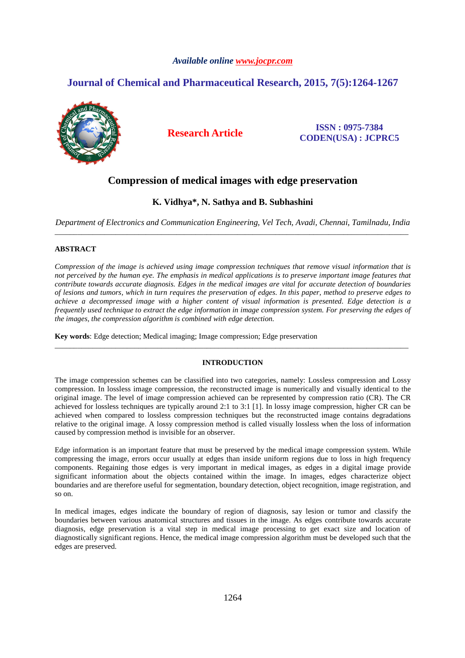## *Available online www.jocpr.com*

# **Journal of Chemical and Pharmaceutical Research, 2015, 7(5):1264-1267**



**Research Article ISSN : 0975-7384 CODEN(USA) : JCPRC5**

## **Compression of medical images with edge preservation**

## **K. Vidhya\*, N. Sathya and B. Subhashini**

*Department of Electronics and Communication Engineering, Vel Tech, Avadi, Chennai, Tamilnadu, India*  \_\_\_\_\_\_\_\_\_\_\_\_\_\_\_\_\_\_\_\_\_\_\_\_\_\_\_\_\_\_\_\_\_\_\_\_\_\_\_\_\_\_\_\_\_\_\_\_\_\_\_\_\_\_\_\_\_\_\_\_\_\_\_\_\_\_\_\_\_\_\_\_\_\_\_\_\_\_\_\_\_\_\_\_\_\_\_\_\_\_\_\_\_

#### **ABSTRACT**

*Compression of the image is achieved using image compression techniques that remove visual information that is not perceived by the human eye. The emphasis in medical applications is to preserve important image features that contribute towards accurate diagnosis. Edges in the medical images are vital for accurate detection of boundaries of lesions and tumors, which in turn requires the preservation of edges. In this paper, method to preserve edges to achieve a decompressed image with a higher content of visual information is presented. Edge detection is a frequently used technique to extract the edge information in image compression system. For preserving the edges of the images, the compression algorithm is combined with edge detection.* 

**Key words**: Edge detection; Medical imaging; Image compression; Edge preservation

## **INTRODUCTION**

\_\_\_\_\_\_\_\_\_\_\_\_\_\_\_\_\_\_\_\_\_\_\_\_\_\_\_\_\_\_\_\_\_\_\_\_\_\_\_\_\_\_\_\_\_\_\_\_\_\_\_\_\_\_\_\_\_\_\_\_\_\_\_\_\_\_\_\_\_\_\_\_\_\_\_\_\_\_\_\_\_\_\_\_\_\_\_\_\_\_\_\_\_

The image compression schemes can be classified into two categories, namely: Lossless compression and Lossy compression. In lossless image compression, the reconstructed image is numerically and visually identical to the original image. The level of image compression achieved can be represented by compression ratio (CR). The CR achieved for lossless techniques are typically around 2:1 to 3:1 [1]. In lossy image compression, higher CR can be achieved when compared to lossless compression techniques but the reconstructed image contains degradations relative to the original image. A lossy compression method is called visually lossless when the loss of information caused by compression method is invisible for an observer.

Edge information is an important feature that must be preserved by the medical image compression system. While compressing the image, errors occur usually at edges than inside uniform regions due to loss in high frequency components. Regaining those edges is very important in medical images, as edges in a digital image provide significant information about the objects contained within the image. In images, edges characterize object boundaries and are therefore useful for segmentation, boundary detection, object recognition, image registration, and so on.

In medical images, edges indicate the boundary of region of diagnosis, say lesion or tumor and classify the boundaries between various anatomical structures and tissues in the image. As edges contribute towards accurate diagnosis, edge preservation is a vital step in medical image processing to get exact size and location of diagnostically significant regions. Hence, the medical image compression algorithm must be developed such that the edges are preserved.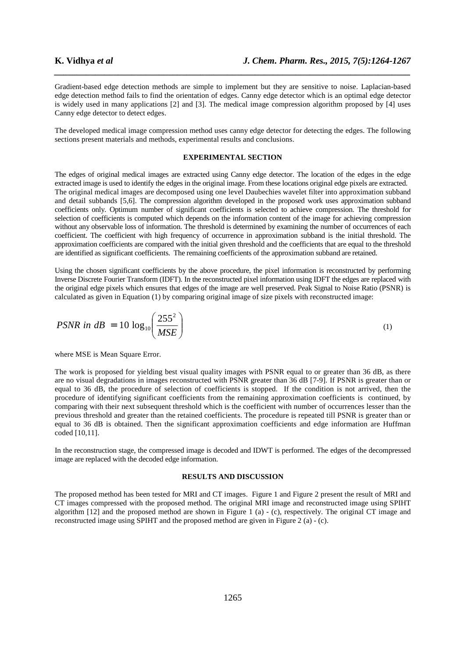Gradient-based edge detection methods are simple to implement but they are sensitive to noise. Laplacian-based edge detection method fails to find the orientation of edges. Canny edge detector which is an optimal edge detector is widely used in many applications [2] and [3]. The medical image compression algorithm proposed by [4] uses Canny edge detector to detect edges.

*\_\_\_\_\_\_\_\_\_\_\_\_\_\_\_\_\_\_\_\_\_\_\_\_\_\_\_\_\_\_\_\_\_\_\_\_\_\_\_\_\_\_\_\_\_\_\_\_\_\_\_\_\_\_\_\_\_\_\_\_\_\_\_\_\_\_\_\_\_\_\_\_\_\_\_\_\_\_*

The developed medical image compression method uses canny edge detector for detecting the edges. The following sections present materials and methods, experimental results and conclusions.

#### **EXPERIMENTAL SECTION**

The edges of original medical images are extracted using Canny edge detector. The location of the edges in the edge extracted image is used to identify the edges in the original image. From these locations original edge pixels are extracted. The original medical images are decomposed using one level Daubechies wavelet filter into approximation subband and detail subbands [5,6]. The compression algorithm developed in the proposed work uses approximation subband coefficients only. Optimum number of significant coefficients is selected to achieve compression. The threshold for selection of coefficients is computed which depends on the information content of the image for achieving compression without any observable loss of information. The threshold is determined by examining the number of occurrences of each coefficient. The coefficient with high frequency of occurrence in approximation subband is the initial threshold. The approximation coefficients are compared with the initial given threshold and the coefficients that are equal to the threshold are identified as significant coefficients. The remaining coefficients of the approximation subband are retained.

Using the chosen significant coefficients by the above procedure, the pixel information is reconstructed by performing Inverse Discrete Fourier Transform (IDFT). In the reconstructed pixel information using IDFT the edges are replaced with the original edge pixels which ensures that edges of the image are well preserved. Peak Signal to Noise Ratio (PSNR) is calculated as given in Equation (1) by comparing original image of size pixels with reconstructed image:

$$
PSNR \text{ in } dB = 10 \log_{10} \left( \frac{255^2}{MSE} \right) \tag{1}
$$

where MSE is Mean Square Error.

The work is proposed for yielding best visual quality images with PSNR equal to or greater than 36 dB, as there are no visual degradations in images reconstructed with PSNR greater than 36 dB [7-9]. If PSNR is greater than or equal to 36 dB, the procedure of selection of coefficients is stopped. If the condition is not arrived, then the procedure of identifying significant coefficients from the remaining approximation coefficients is continued, by comparing with their next subsequent threshold which is the coefficient with number of occurrences lesser than the previous threshold and greater than the retained coefficients. The procedure is repeated till PSNR is greater than or equal to 36 dB is obtained. Then the significant approximation coefficients and edge information are Huffman coded [10,11].

In the reconstruction stage, the compressed image is decoded and IDWT is performed. The edges of the decompressed image are replaced with the decoded edge information.

#### **RESULTS AND DISCUSSION**

The proposed method has been tested for MRI and CT images. Figure 1 and Figure 2 present the result of MRI and CT images compressed with the proposed method. The original MRI image and reconstructed image using SPIHT algorithm [12] and the proposed method are shown in Figure 1 (a) - (c), respectively. The original CT image and reconstructed image using SPIHT and the proposed method are given in Figure 2 (a) - (c).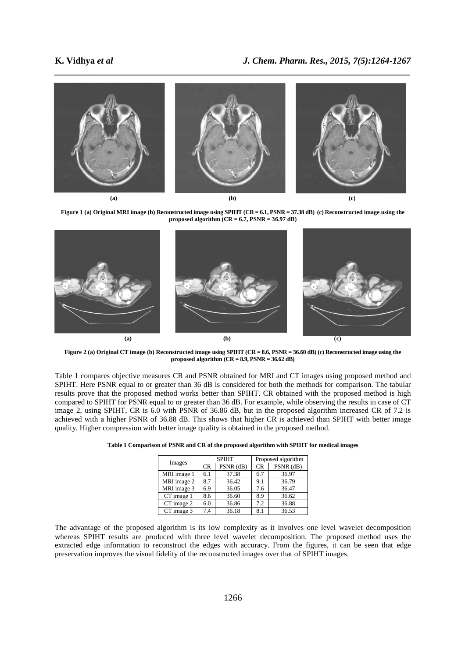

Figure 1 (a) Original MRI image (b) Reconstructed image using SPIHT (CR = 6.1, PSNR = 37.38 dB) (c) Reconstructed image using the **proposed algorithm (CR = 6.7, PSNR = 36.97 dB)** 



**Figure 2 (a) Original CT image (b) Reconstructed image using SPIHT (CR = 8.6, PSNR = 36.60 dB) (c) Reconstructed image using the proposed algorithm (CR = 8.9, PSNR = 36.62 dB)** 

Table 1 compares objective measures CR and PSNR obtained for MRI and CT images using proposed method and SPIHT. Here PSNR equal to or greater than 36 dB is considered for both the methods for comparison. The tabular results prove that the proposed method works better than SPIHT. CR obtained with the proposed method is high compared to SPIHT for PSNR equal to or greater than 36 dB. For example, while observing the results in case of CT image 2, using SPIHT, CR is 6.0 with PSNR of 36.86 dB, but in the proposed algorithm increased CR of 7.2 is achieved with a higher PSNR of 36.88 dB. This shows that higher CR is achieved than SPIHT with better image quality. Higher compression with better image quality is obtained in the proposed method.

|             | <b>SPIHT</b> |           | Proposed algorithm |           |
|-------------|--------------|-----------|--------------------|-----------|
| Images      |              |           |                    |           |
|             | <b>CR</b>    | PSNR (dB) | <b>CR</b>          | PSNR (dB) |
| MRI image 1 | 6.1          | 37.38     | 6.7                | 36.97     |
| MRI image 2 | 8.7          | 36.42     | 9.1                | 36.79     |
| MRI image 3 | 6.9          | 36.05     | 7.6                | 36.47     |
| CT image 1  | 8.6          | 36.60     | 8.9                | 36.62     |
| CT image 2  | 6.0          | 36.86     | 7.2                | 36.88     |
| CT image 3  | 7.4          | 36.18     | 8.1                | 36.53     |

|  | Table 1 Comparison of PSNR and CR of the proposed algorithm with SPIHT for medical images |
|--|-------------------------------------------------------------------------------------------|
|--|-------------------------------------------------------------------------------------------|

The advantage of the proposed algorithm is its low complexity as it involves one level wavelet decomposition whereas SPIHT results are produced with three level wavelet decomposition. The proposed method uses the extracted edge information to reconstruct the edges with accuracy. From the figures, it can be seen that edge preservation improves the visual fidelity of the reconstructed images over that of SPIHT images.